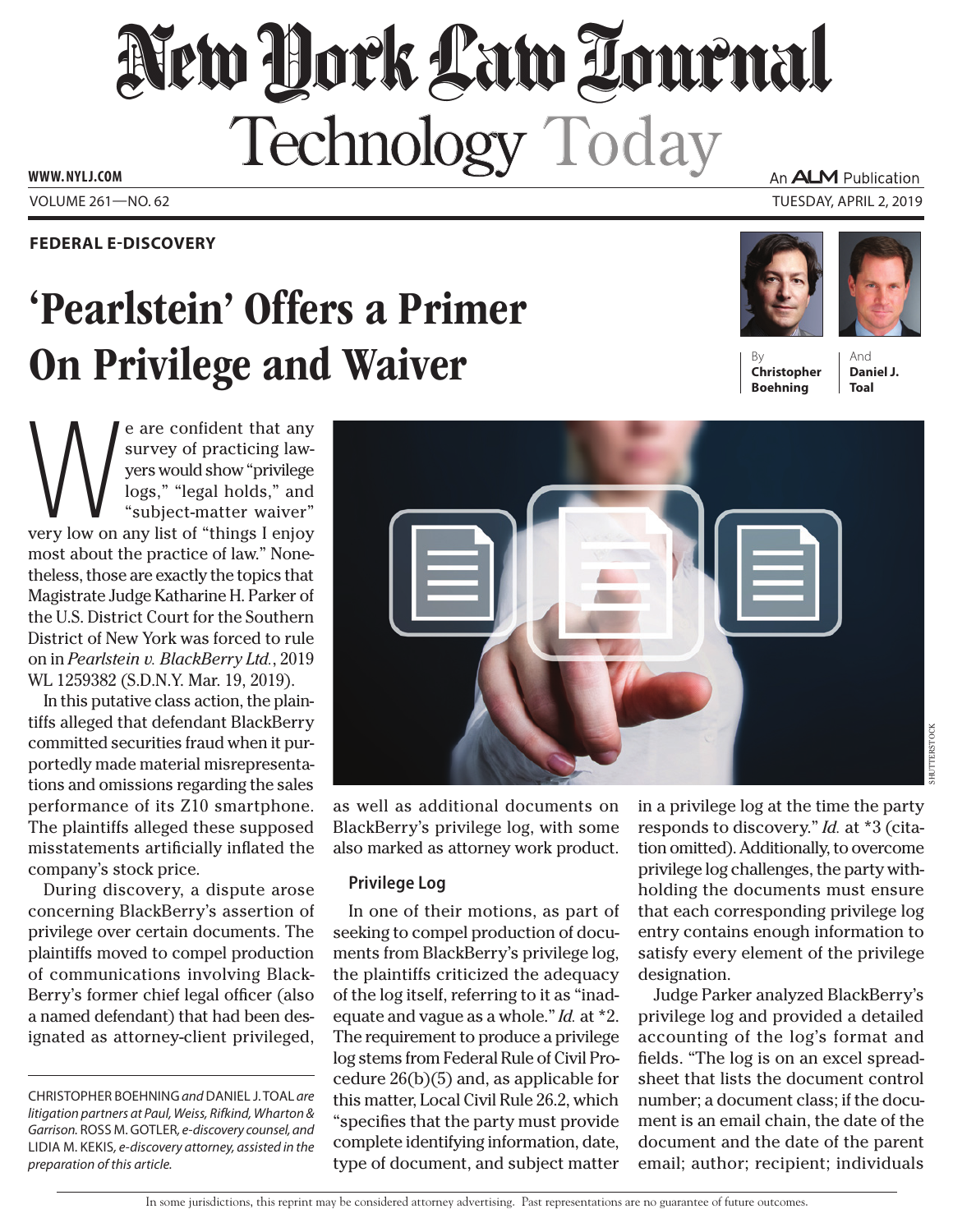# New Hock Law Tournal Technology Today

**www. NYLJ.com**

### **Federal E-Discovery**

## 'Pearlstein' Offers a Primer **On Privilege and Waiver**

e are confident that any<br>survey of practicing law-<br>yers would show "privilege<br>logs," "legal holds," and<br>"subject-matter waiver"<br>very low on any list of "things I enjoy survey of practicing lawyers would show "privilege logs," "legal holds," and "subject-matter waiver" most about the practice of law." Nonetheless, those are exactly the topics that Magistrate Judge Katharine H. Parker of the U.S. District Court for the Southern District of New York was forced to rule on in *Pearlstein v. BlackBerry Ltd.*, 2019 WL 1259382 (S.D.N.Y. Mar. 19, 2019).

In this putative class action, the plaintiffs alleged that defendant BlackBerry committed securities fraud when it purportedly made material misrepresentations and omissions regarding the sales performance of its Z10 smartphone. The plaintiffs alleged these supposed misstatements artificially inflated the company's stock price.

During discovery, a dispute arose concerning BlackBerry's assertion of privilege over certain documents. The plaintiffs moved to compel production of communications involving Black-Berry's former chief legal officer (also a named defendant) that had been designated as attorney-client privileged,

Christopher Boehning *and* Daniel J. Toal *are litigation partners at Paul, Weiss, Rifkind, Wharton &*  Garrison. ROSS M. GOTLER, e-discovery counsel, and Lidia M. Kekis*, e-discovery attorney, assisted in the preparation of this article.*

An **ALM** Publication

Volume 261—NO. 62 Tuesday, April 2, 2019







And **Daniel J. Toal**



as well as additional documents on BlackBerry's privilege log, with some also marked as attorney work product.

#### **Privilege Log**

In one of their motions, as part of seeking to compel production of documents from BlackBerry's privilege log, the plaintiffs criticized the adequacy of the log itself, referring to it as "inadequate and vague as a whole." *Id.* at \*2. The requirement to produce a privilege log stems from Federal Rule of Civil Procedure 26(b)(5) and, as applicable for this matter, Local Civil Rule 26.2, which "specifies that the party must provide complete identifying information, date, type of document, and subject matter

in a privilege log at the time the party responds to discovery." *Id.* at \*3 (citation omitted). Additionally, to overcome privilege log challenges, the party withholding the documents must ensure that each corresponding privilege log entry contains enough information to satisfy every element of the privilege designation.

Judge Parker analyzed BlackBerry's privilege log and provided a detailed accounting of the log's format and fields. "The log is on an excel spreadsheet that lists the document control number; a document class; if the document is an email chain, the date of the document and the date of the parent email; author; recipient; individuals